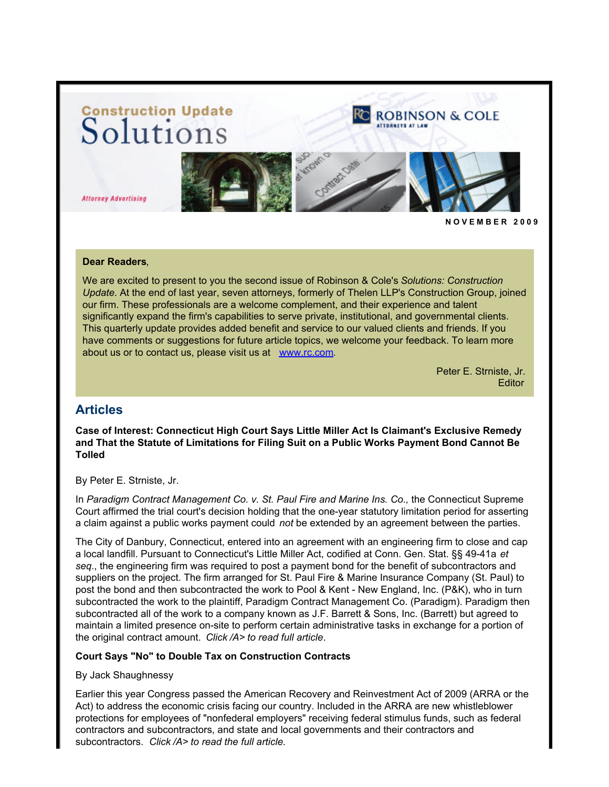# Construction Update<br>Solutions



**Attorney Advertising** 



#### **Dear Readers**,

We are excited to present to you the second issue of Robinson & Cole's *Solutions: Construction Update*. At the end of last year, seven attorneys, formerly of Thelen LLP's Construction Group, joined our firm. These professionals are a welcome complement, and their experience and talent significantly expand the firm's capabilities to serve private, institutional, and governmental clients. This quarterly update provides added benefit and service to our valued clients and friends. If you have comments or suggestions for future article topics, we welcome your feedback. To learn more about us or to contact us, please visit us at [www.rc.com](http://www.rc.com/?ju=fe39167576650779771472&ls=fdeb10747163027b7d177372&m=fefb1671756c0d&l=fe941573716d077a75&s=fe191d757d600c7a751376&jb=ffcf14&t=).

> Peter E. Strniste, Jr*.* **Editor**

## **Articles**

**Case of Interest: Connecticut High Court Says Little Miller Act Is Claimant's Exclusive Remedy and That the Statute of Limitations for Filing Suit on a Public Works Payment Bond Cannot Be Tolled**

By Peter E. Strniste, Jr.

In *Paradigm Contract Management Co. v. St. Paul Fire and Marine Ins. Co.,* the Connecticut Supreme Court affirmed the trial court's decision holding that the one-year statutory limitation period for asserting a claim against a public works payment could *not* be extended by an agreement between the parties.

The City of Danbury, Connecticut, entered into an agreement with an engineering firm to close and cap a local landfill. Pursuant to Connecticut's Little Miller Act, codified at Conn. Gen. Stat. §§ 49-41a *et seq*., the engineering firm was required to post a payment bond for the benefit of subcontractors and suppliers on the project. The firm arranged for St. Paul Fire & Marine Insurance Company (St. Paul) to post the bond and then subcontracted the work to Pool & Kent - New England, Inc. (P&K), who in turn subcontracted the work to the plaintiff, Paradigm Contract Management Co. (Paradigm). Paradigm then subcontracted all of the work to a company known as J.F. Barrett & Sons, Inc. (Barrett) but agreed to maintain a limited presence on-site to perform certain administrative tasks in exchange for a portion of the original contract amount. *Click /A> to read full article*.

#### **Court Says "No" to Double Tax on Construction Contracts**

By Jack Shaughnessy

Earlier this year Congress passed the American Recovery and Reinvestment Act of 2009 (ARRA or the Act) to address the economic crisis facing our country. Included in the ARRA are new whistleblower protections for employees of "nonfederal employers" receiving federal stimulus funds, such as federal contractors and subcontractors, and state and local governments and their contractors and subcontractors. *Click /A> to read the full article.*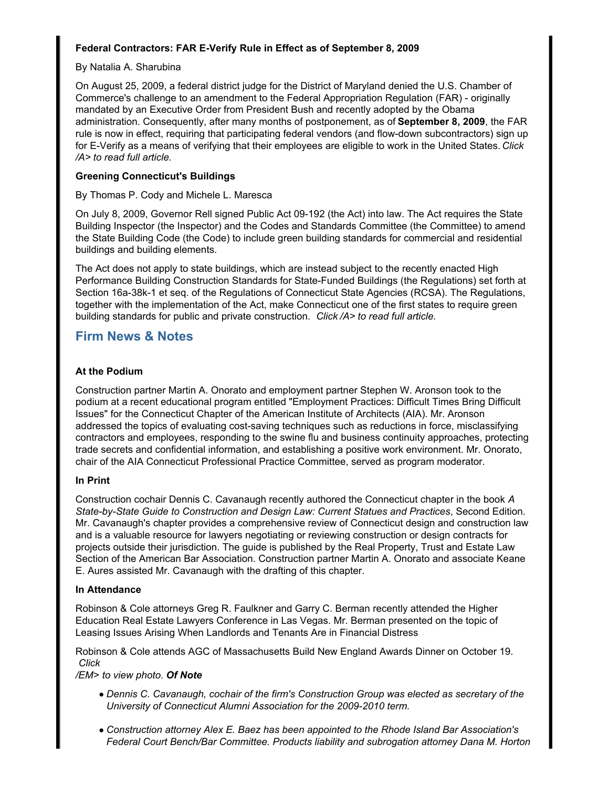#### **Federal Contractors: FAR E-Verify Rule in Effect as of September 8, 2009**

#### By Natalia A. Sharubina

On August 25, 2009, a federal district judge for the District of Maryland denied the U.S. Chamber of Commerce's challenge to an amendment to the Federal Appropriation Regulation (FAR) - originally mandated by an Executive Order from President Bush and recently adopted by the Obama administration. Consequently, after many months of postponement, as of **September 8, 2009**, the FAR rule is now in effect, requiring that participating federal vendors (and flow-down subcontractors) sign up for E-Verify as a means of verifying that their employees are eligible to work in the United States. *Click /A> to read full article.*

#### **Greening Connecticut's Buildings**

#### By Thomas P. Cody and Michele L. Maresca

On July 8, 2009, Governor Rell signed Public Act 09-192 (the Act) into law. The Act requires the State Building Inspector (the Inspector) and the Codes and Standards Committee (the Committee) to amend the State Building Code (the Code) to include green building standards for commercial and residential buildings and building elements.

The Act does not apply to state buildings, which are instead subject to the recently enacted High Performance Building Construction Standards for State-Funded Buildings (the Regulations) set forth at Section 16a-38k-1 et seq. of the Regulations of Connecticut State Agencies (RCSA). The Regulations, together with the implementation of the Act, make Connecticut one of the first states to require green building standards for public and private construction. *Click /A> to read full article.*

## **Firm News & Notes**

## **At the Podium**

Construction partner Martin A. Onorato and employment partner Stephen W. Aronson took to the podium at a recent educational program entitled "Employment Practices: Difficult Times Bring Difficult Issues" for the Connecticut Chapter of the American Institute of Architects (AIA). Mr. Aronson addressed the topics of evaluating cost-saving techniques such as reductions in force, misclassifying contractors and employees, responding to the swine flu and business continuity approaches, protecting trade secrets and confidential information, and establishing a positive work environment. Mr. Onorato, chair of the AIA Connecticut Professional Practice Committee, served as program moderator.

#### **In Print**

Construction cochair Dennis C. Cavanaugh recently authored the Connecticut chapter in the book *A State-by-State Guide to Construction and Design Law: Current Statues and Practices*, Second Edition. Mr. Cavanaugh's chapter provides a comprehensive review of Connecticut design and construction law and is a valuable resource for lawyers negotiating or reviewing construction or design contracts for projects outside their jurisdiction. The guide is published by the Real Property, Trust and Estate Law Section of the American Bar Association. Construction partner Martin A. Onorato and associate Keane E. Aures assisted Mr. Cavanaugh with the drafting of this chapter.

#### **In Attendance**

Robinson & Cole attorneys Greg R. Faulkner and Garry C. Berman recently attended the Higher Education Real Estate Lawyers Conference in Las Vegas. Mr. Berman presented on the topic of Leasing Issues Arising When Landlords and Tenants Are in Financial Distress

Robinson & Cole attends AGC of Massachusetts Build New England Awards Dinner on October 19. *Click* 

*/EM> to view photo. Of Note*

- *Dennis C. Cavanaugh, cochair of the firm's Construction Group was elected as secretary of the University of Connecticut Alumni Association for the 2009-2010 term.*
- *Construction attorney Alex E. Baez has been appointed to the Rhode Island Bar Association's Federal Court Bench/Bar Committee. Products liability and subrogation attorney Dana M. Horton*